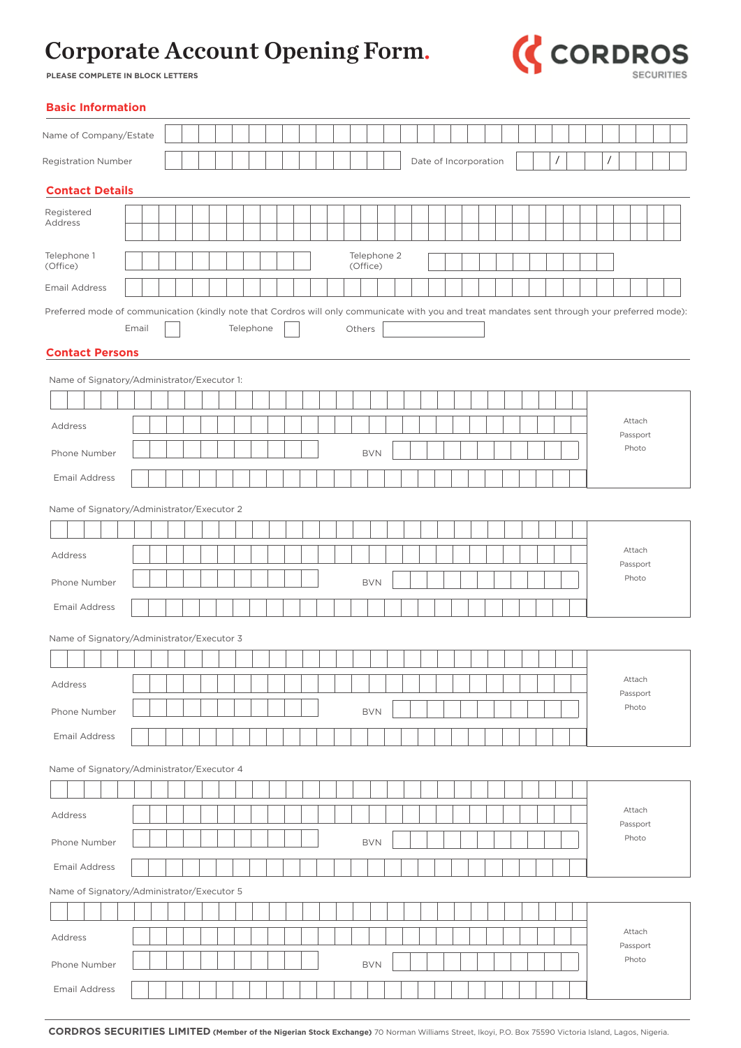

**PLEASE COMPLETE IN BLOCK LETTERS**

| <b>Basic Information</b>                                                                                                                       |       |  |  |           |  |  |  |                         |  |                       |  |  |  |          |  |          |                    |  |  |
|------------------------------------------------------------------------------------------------------------------------------------------------|-------|--|--|-----------|--|--|--|-------------------------|--|-----------------------|--|--|--|----------|--|----------|--------------------|--|--|
| Name of Company/Estate                                                                                                                         |       |  |  |           |  |  |  |                         |  |                       |  |  |  |          |  |          |                    |  |  |
| <b>Registration Number</b>                                                                                                                     |       |  |  |           |  |  |  |                         |  | Date of Incorporation |  |  |  | $\prime$ |  | $\prime$ |                    |  |  |
| <b>Contact Details</b>                                                                                                                         |       |  |  |           |  |  |  |                         |  |                       |  |  |  |          |  |          |                    |  |  |
| Registered                                                                                                                                     |       |  |  |           |  |  |  |                         |  |                       |  |  |  |          |  |          |                    |  |  |
| Address                                                                                                                                        |       |  |  |           |  |  |  |                         |  |                       |  |  |  |          |  |          |                    |  |  |
| Telephone 1<br>(Office)                                                                                                                        |       |  |  |           |  |  |  | Telephone 2<br>(Office) |  |                       |  |  |  |          |  |          |                    |  |  |
| <b>Email Address</b>                                                                                                                           |       |  |  |           |  |  |  |                         |  |                       |  |  |  |          |  |          |                    |  |  |
| Preferred mode of communication (kindly note that Cordros will only communicate with you and treat mandates sent through your preferred mode): | Email |  |  | Telephone |  |  |  | Others                  |  |                       |  |  |  |          |  |          |                    |  |  |
| <b>Contact Persons</b>                                                                                                                         |       |  |  |           |  |  |  |                         |  |                       |  |  |  |          |  |          |                    |  |  |
| Name of Signatory/Administrator/Executor 1:                                                                                                    |       |  |  |           |  |  |  |                         |  |                       |  |  |  |          |  |          |                    |  |  |
|                                                                                                                                                |       |  |  |           |  |  |  |                         |  |                       |  |  |  |          |  |          | Attach             |  |  |
| Address                                                                                                                                        |       |  |  |           |  |  |  |                         |  |                       |  |  |  |          |  |          | Passport           |  |  |
| Phone Number                                                                                                                                   |       |  |  |           |  |  |  | <b>BVN</b>              |  |                       |  |  |  |          |  |          | Photo              |  |  |
| <b>Email Address</b>                                                                                                                           |       |  |  |           |  |  |  |                         |  |                       |  |  |  |          |  |          |                    |  |  |
| Name of Signatory/Administrator/Executor 2                                                                                                     |       |  |  |           |  |  |  |                         |  |                       |  |  |  |          |  |          |                    |  |  |
|                                                                                                                                                |       |  |  |           |  |  |  |                         |  |                       |  |  |  |          |  |          |                    |  |  |
| Address                                                                                                                                        |       |  |  |           |  |  |  |                         |  |                       |  |  |  |          |  |          | Attach             |  |  |
| Phone Number                                                                                                                                   |       |  |  |           |  |  |  | <b>BVN</b>              |  |                       |  |  |  |          |  |          | Passport<br>Photo  |  |  |
| <b>Email Address</b>                                                                                                                           |       |  |  |           |  |  |  |                         |  |                       |  |  |  |          |  |          |                    |  |  |
| Name of Signatory/Administrator/Executor 3                                                                                                     |       |  |  |           |  |  |  |                         |  |                       |  |  |  |          |  |          |                    |  |  |
|                                                                                                                                                |       |  |  |           |  |  |  |                         |  |                       |  |  |  |          |  |          |                    |  |  |
| Address                                                                                                                                        |       |  |  |           |  |  |  |                         |  |                       |  |  |  |          |  |          | Attach             |  |  |
|                                                                                                                                                |       |  |  |           |  |  |  |                         |  |                       |  |  |  |          |  |          | Passport<br>Photo  |  |  |
| Phone Number                                                                                                                                   |       |  |  |           |  |  |  | <b>BVN</b>              |  |                       |  |  |  |          |  |          |                    |  |  |
| <b>Email Address</b>                                                                                                                           |       |  |  |           |  |  |  |                         |  |                       |  |  |  |          |  |          |                    |  |  |
| Name of Signatory/Administrator/Executor 4                                                                                                     |       |  |  |           |  |  |  |                         |  |                       |  |  |  |          |  |          |                    |  |  |
|                                                                                                                                                |       |  |  |           |  |  |  |                         |  |                       |  |  |  |          |  |          |                    |  |  |
| Address                                                                                                                                        |       |  |  |           |  |  |  |                         |  |                       |  |  |  |          |  |          | Attach<br>Passport |  |  |
| Phone Number                                                                                                                                   |       |  |  |           |  |  |  | <b>BVN</b>              |  |                       |  |  |  |          |  |          | Photo              |  |  |
| <b>Email Address</b>                                                                                                                           |       |  |  |           |  |  |  |                         |  |                       |  |  |  |          |  |          |                    |  |  |
| Name of Signatory/Administrator/Executor 5                                                                                                     |       |  |  |           |  |  |  |                         |  |                       |  |  |  |          |  |          |                    |  |  |
|                                                                                                                                                |       |  |  |           |  |  |  |                         |  |                       |  |  |  |          |  |          |                    |  |  |
| Address                                                                                                                                        |       |  |  |           |  |  |  |                         |  |                       |  |  |  |          |  |          | Attach<br>Passport |  |  |
| Phone Number                                                                                                                                   |       |  |  |           |  |  |  | <b>BVN</b>              |  |                       |  |  |  |          |  |          | Photo              |  |  |
| <b>Email Address</b>                                                                                                                           |       |  |  |           |  |  |  |                         |  |                       |  |  |  |          |  |          |                    |  |  |
|                                                                                                                                                |       |  |  |           |  |  |  |                         |  |                       |  |  |  |          |  |          |                    |  |  |

**CORDROS SECURITIES LIMITED (Member of the Nigerian Stock Exchange)** 70 Norman Williams Street, Ikoyi, P.O. Box 75590 Victoria Island, Lagos, Nigeria.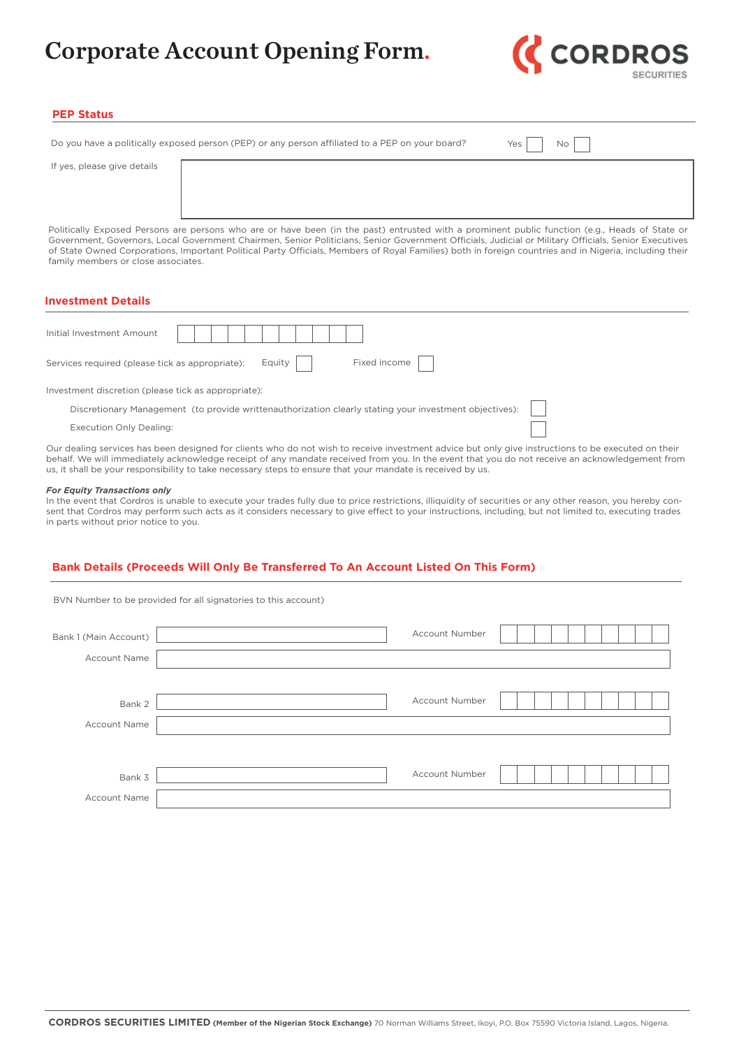

### **PEP Status**

|                             | Do you have a politically exposed person (PEP) or any person affiliated to a PEP on your board? | $Yes$  <br>No I |
|-----------------------------|-------------------------------------------------------------------------------------------------|-----------------|
| If yes, please give details |                                                                                                 |                 |
|                             |                                                                                                 |                 |

Politically Exposed Persons are persons who are or have been (in the past) entrusted with a prominent public function (e.g., Heads of State or Government, Governors, Local Government Chairmen, Senior Politicians, Senior Government Officials, Judicial or Military Officials, Senior Executives of State Owned Corporations, Important Political Party Officials, Members of Royal Families) both in foreign countries and in Nigeria, including their family members or close associates.

### **Investment Details**

| Initial Investment Amount                                                                              |  |  |  |  |  |
|--------------------------------------------------------------------------------------------------------|--|--|--|--|--|
| Fixed income<br>Equity    <br>Services required (please tick as appropriate):                          |  |  |  |  |  |
| Investment discretion (please tick as appropriate):                                                    |  |  |  |  |  |
| Discretionary Management (to provide writtenauthorization clearly stating your investment objectives): |  |  |  |  |  |
| <b>Execution Only Dealing:</b>                                                                         |  |  |  |  |  |
|                                                                                                        |  |  |  |  |  |

Our dealing services has been designed for clients who do not wish to receive investment advice but only give instructions to be executed on their behalf. We will immediately acknowledge receipt of any mandate received from you. In the event that you do not receive an acknowledgement from us, it shall be your responsibility to take necessary steps to ensure that your mandate is received by us.

#### *For Equity Transactions only*

In the event that Cordros is unable to execute your trades fully due to price restrictions, illiquidity of securities or any other reason, you hereby consent that Cordros may perform such acts as it considers necessary to give effect to your instructions, including, but not limited to, executing trades in parts without prior notice to you.

### **Bank Details (Proceeds Will Only Be Transferred To An Account Listed On This Form)**

|                       | BVN Number to be provided for all signatories to this account) |
|-----------------------|----------------------------------------------------------------|
| Bank 1 (Main Account) | <b>Account Number</b>                                          |
| <b>Account Name</b>   |                                                                |
|                       |                                                                |
| Bank 2                | <b>Account Number</b>                                          |
| Account Name          |                                                                |
|                       |                                                                |
| Bank 3                | <b>Account Number</b>                                          |
| <b>Account Name</b>   |                                                                |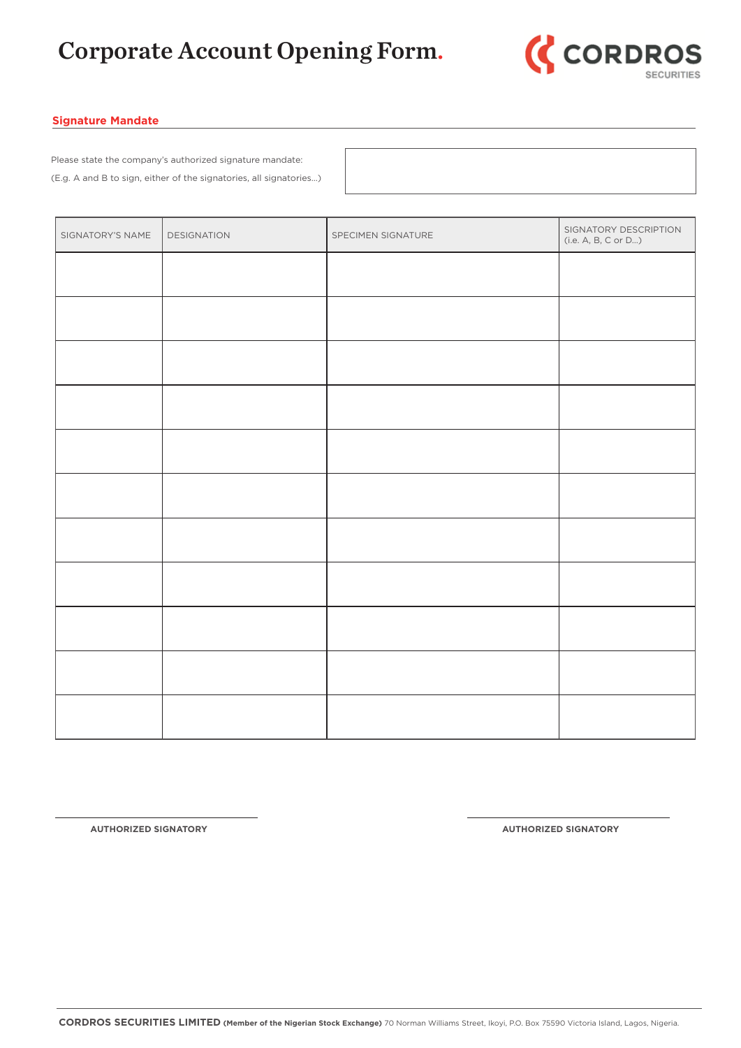

### **Signature Mandate**

Please state the company's authorized signature mandate: (E.g. A and B to sign, either of the signatories, all signatories…)

| SIGNATORY'S NAME | DESIGNATION | SPECIMEN SIGNATURE | SIGNATORY DESCRIPTION<br>(i.e. A, B, C or D) |
|------------------|-------------|--------------------|----------------------------------------------|
|                  |             |                    |                                              |
|                  |             |                    |                                              |
|                  |             |                    |                                              |
|                  |             |                    |                                              |
|                  |             |                    |                                              |
|                  |             |                    |                                              |
|                  |             |                    |                                              |
|                  |             |                    |                                              |
|                  |             |                    |                                              |
|                  |             |                    |                                              |
|                  |             |                    |                                              |

**AUTHORIZED SIGNATORY AUTHORIZED SIGNATORY**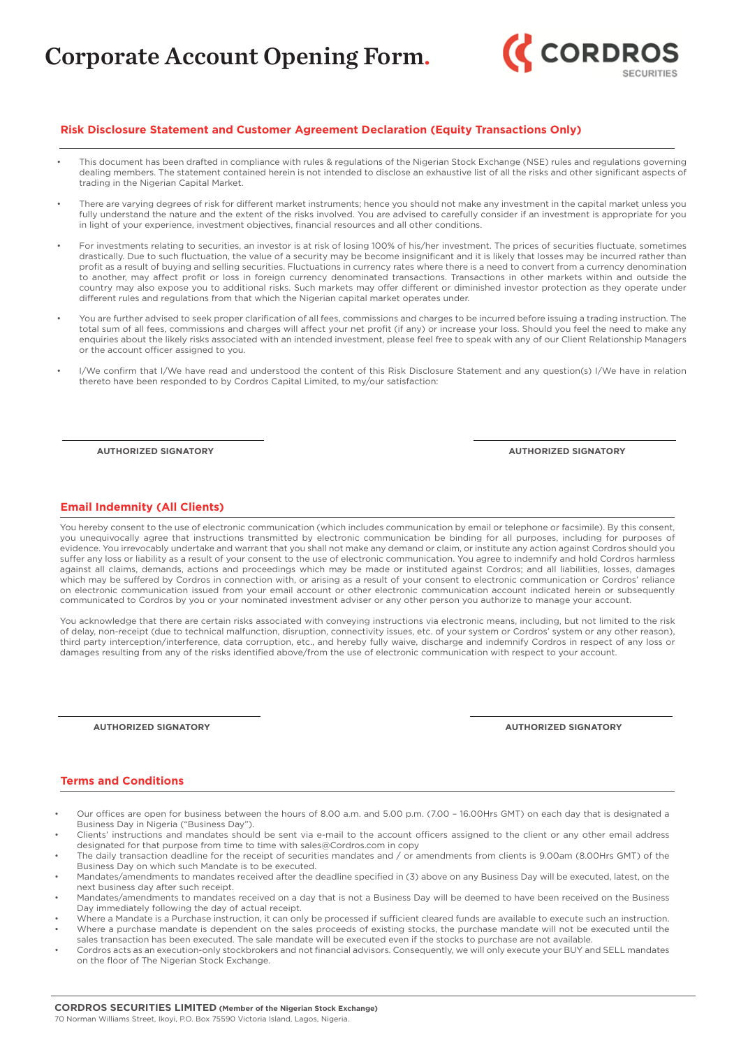

### **Risk Disclosure Statement and Customer Agreement Declaration (Equity Transactions Only)**

- This document has been drafted in compliance with rules & regulations of the Nigerian Stock Exchange (NSE) rules and regulations governing dealing members. The statement contained herein is not intended to disclose an exhaustive list of all the risks and other significant aspects of trading in the Nigerian Capital Market.
- There are varying degrees of risk for different market instruments; hence you should not make any investment in the capital market unless you fully understand the nature and the extent of the risks involved. You are advised to carefully consider if an investment is appropriate for you in light of your experience, investment objectives, financial resources and all other conditions.
- For investments relating to securities, an investor is at risk of losing 100% of his/her investment. The prices of securities fluctuate, sometimes drastically. Due to such fluctuation, the value of a security may be become insignificant and it is likely that losses may be incurred rather than profit as a result of buying and selling securities. Fluctuations in currency rates where there is a need to convert from a currency denomination to another, may affect profit or loss in foreign currency denominated transactions. Transactions in other markets within and outside the country may also expose you to additional risks. Such markets may offer different or diminished investor protection as they operate under different rules and regulations from that which the Nigerian capital market operates under.
- You are further advised to seek proper clarification of all fees, commissions and charges to be incurred before issuing a trading instruction. The total sum of all fees, commissions and charges will affect your net profit (if any) or increase your loss. Should you feel the need to make any enquiries about the likely risks associated with an intended investment, please feel free to speak with any of our Client Relationship Managers or the account officer assigned to you.
- I/We confirm that I/We have read and understood the content of this Risk Disclosure Statement and any question(s) I/We have in relation thereto have been responded to by Cordros Capital Limited, to my/our satisfaction:

**AUTHORIZED SIGNATORY AUTHORIZED SIGNATORY**

### **Email Indemnity (All Clients)**

You hereby consent to the use of electronic communication (which includes communication by email or telephone or facsimile). By this consent, you unequivocally agree that instructions transmitted by electronic communication be binding for all purposes, including for purposes of evidence. You irrevocably undertake and warrant that you shall not make any demand or claim, or institute any action against Cordros should you suffer any loss or liability as a result of your consent to the use of electronic communication. You agree to indemnify and hold Cordros harmless against all claims, demands, actions and proceedings which may be made or instituted against Cordros; and all liabilities, losses, damages which may be suffered by Cordros in connection with, or arising as a result of your consent to electronic communication or Cordros' reliance on electronic communication issued from your email account or other electronic communication account indicated herein or subsequently communicated to Cordros by you or your nominated investment adviser or any other person you authorize to manage your account.

You acknowledge that there are certain risks associated with conveying instructions via electronic means, including, but not limited to the risk of delay, non-receipt (due to technical malfunction, disruption, connectivity issues, etc. of your system or Cordros' system or any other reason), third party interception/interference, data corruption, etc., and hereby fully waive, discharge and indemnify Cordros in respect of any loss or damages resulting from any of the risks identified above/from the use of electronic communication with respect to your account.

**AUTHORIZED SIGNATORY AUTHORIZED SIGNATORY**

#### **Terms and Conditions**

- Our offices are open for business between the hours of 8.00 a.m. and 5.00 p.m. (7.00 16.00Hrs GMT) on each day that is designated a Business Day in Nigeria ("Business Day").
- Clients' instructions and mandates should be sent via e-mail to the account officers assigned to the client or any other email address designated for that purpose from time to time with sales@Cordros.com in copy
- The daily transaction deadline for the receipt of securities mandates and / or amendments from clients is 9.00am (8.00Hrs GMT) of the Business Day on which such Mandate is to be executed.
- Mandates/amendments to mandates received after the deadline specified in (3) above on any Business Day will be executed, latest, on the next business day after such receipt.
- Mandates/amendments to mandates received on a day that is not a Business Day will be deemed to have been received on the Business Day immediately following the day of actual receipt.
- Where a Mandate is a Purchase instruction, it can only be processed if sufficient cleared funds are available to execute such an instruction. • Where a purchase mandate is dependent on the sales proceeds of existing stocks, the purchase mandate will not be executed until the
- sales transaction has been executed. The sale mandate will be executed even if the stocks to purchase are not available.
- Cordros acts as an execution-only stockbrokers and not financial advisors. Consequently, we will only execute your BUY and SELL mandates on the floor of The Nigerian Stock Exchange.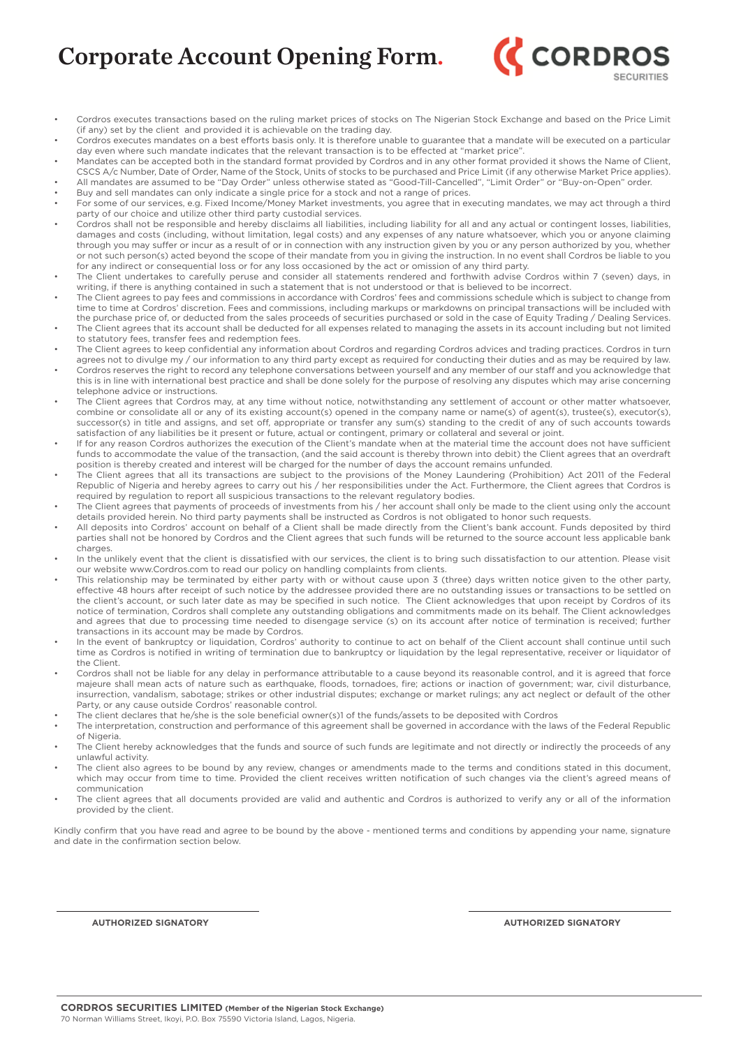

- Cordros executes transactions based on the ruling market prices of stocks on The Nigerian Stock Exchange and based on the Price Limit (if any) set by the client and provided it is achievable on the trading day.
- Cordros executes mandates on a best efforts basis only. It is therefore unable to guarantee that a mandate will be executed on a particular day even where such mandate indicates that the relevant transaction is to be effected at "market price".
- Mandates can be accepted both in the standard format provided by Cordros and in any other format provided it shows the Name of Client, CSCS A/c Number, Date of Order, Name of the Stock, Units of stocks to be purchased and Price Limit (if any otherwise Market Price applies). • All mandates are assumed to be "Day Order" unless otherwise stated as "Good-Till-Cancelled", "Limit Order" or "Buy-on-Open" order.

• Buy and sell mandates can only indicate a single price for a stock and not a range of prices.

- For some of our services, e.g. Fixed Income/Money Market investments, you agree that in executing mandates, we may act through a third party of our choice and utilize other third party custodial services.
- Cordros shall not be responsible and hereby disclaims all liabilities, including liability for all and any actual or contingent losses, liabilities, damages and costs (including, without limitation, legal costs) and any expenses of any nature whatsoever, which you or anyone claiming through you may suffer or incur as a result of or in connection with any instruction given by you or any person authorized by you, whether or not such person(s) acted beyond the scope of their mandate from you in giving the instruction. In no event shall Cordros be liable to you for any indirect or consequential loss or for any loss occasioned by the act or omission of any third party.
- The Client undertakes to carefully peruse and consider all statements rendered and forthwith advise Cordros within 7 (seven) days, in writing, if there is anything contained in such a statement that is not understood or that is believed to be incorrect.
- The Client agrees to pay fees and commissions in accordance with Cordros' fees and commissions schedule which is subject to change from time to time at Cordros' discretion. Fees and commissions, including markups or markdowns on principal transactions will be included with the purchase price of, or deducted from the sales proceeds of securities purchased or sold in the case of Equity Trading / Dealing Services. • The Client agrees that its account shall be deducted for all expenses related to managing the assets in its account including but not limited
- to statutory fees, transfer fees and redemption fees. • The Client agrees to keep confidential any information about Cordros and regarding Cordros advices and trading practices. Cordros in turn
- agrees not to divulge my / our information to any third party except as required for conducting their duties and as may be required by law. • Cordros reserves the right to record any telephone conversations between yourself and any member of our staff and you acknowledge that this is in line with international best practice and shall be done solely for the purpose of resolving any disputes which may arise concerning telephone advice or instructions.
- The Client agrees that Cordros may, at any time without notice, notwithstanding any settlement of account or other matter whatsoever, combine or consolidate all or any of its existing account(s) opened in the company name or name(s) of agent(s), trustee(s), executor(s), successor(s) in title and assigns, and set off, appropriate or transfer any sum(s) standing to the credit of any of such accounts towards satisfaction of any liabilities be it present or future, actual or contingent, primary or collateral and several or joint.
- If for any reason Cordros authorizes the execution of the Client's mandate when at the material time the account does not have sufficient funds to accommodate the value of the transaction, (and the said account is thereby thrown into debit) the Client agrees that an overdraft position is thereby created and interest will be charged for the number of days the account remains unfunded.
- The Client agrees that all its transactions are subject to the provisions of the Money Laundering (Prohibition) Act 2011 of the Federal Republic of Nigeria and hereby agrees to carry out his / her responsibilities under the Act. Furthermore, the Client agrees that Cordros is required by regulation to report all suspicious transactions to the relevant regulatory bodies.
- The Client agrees that payments of proceeds of investments from his / her account shall only be made to the client using only the account details provided herein. No third party payments shall be instructed as Cordros is not obligated to honor such requests.
- All deposits into Cordros' account on behalf of a Client shall be made directly from the Client's bank account. Funds deposited by third parties shall not be honored by Cordros and the Client agrees that such funds will be returned to the source account less applicable bank charges.
- In the unlikely event that the client is dissatisfied with our services, the client is to bring such dissatisfaction to our attention. Please visit our website www.Cordros.com to read our policy on handling complaints from clients.
- This relationship may be terminated by either party with or without cause upon 3 (three) days written notice given to the other party, effective 48 hours after receipt of such notice by the addressee provided there are no outstanding issues or transactions to be settled on the client's account, or such later date as may be specified in such notice. The Client acknowledges that upon receipt by Cordros of its notice of termination, Cordros shall complete any outstanding obligations and commitments made on its behalf. The Client acknowledges and agrees that due to processing time needed to disengage service (s) on its account after notice of termination is received; further transactions in its account may be made by Cordros.
- In the event of bankruptcy or liquidation, Cordros' authority to continue to act on behalf of the Client account shall continue until such time as Cordros is notified in writing of termination due to bankruptcy or liquidation by the legal representative, receiver or liquidator of the Client.
- Cordros shall not be liable for any delay in performance attributable to a cause beyond its reasonable control, and it is agreed that force majeure shall mean acts of nature such as earthquake, floods, tornadoes, fire; actions or inaction of government; war, civil disturbance, insurrection, vandalism, sabotage; strikes or other industrial disputes; exchange or market rulings; any act neglect or default of the other Party, or any cause outside Cordros' reasonable control.
- The client declares that he/she is the sole beneficial owner(s)1 of the funds/assets to be deposited with Cordros
- The interpretation, construction and performance of this agreement shall be governed in accordance with the laws of the Federal Republic of Nigeria.
- The Client hereby acknowledges that the funds and source of such funds are legitimate and not directly or indirectly the proceeds of any unlawful activity.
- The client also agrees to be bound by any review, changes or amendments made to the terms and conditions stated in this document, which may occur from time to time. Provided the client receives written notification of such changes via the client's agreed means of communication
- The client agrees that all documents provided are valid and authentic and Cordros is authorized to verify any or all of the information provided by the client.

Kindly confirm that you have read and agree to be bound by the above - mentioned terms and conditions by appending your name, signature and date in the confirmation section below.

**AUTHORIZED SIGNATORY AUTHORIZED SIGNATORY**